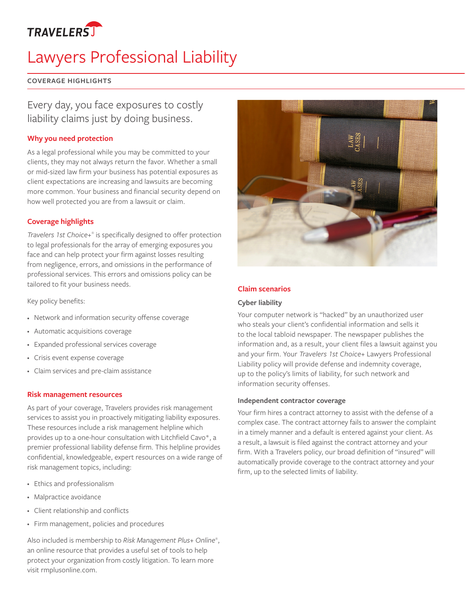

# Lawyers Professional Liability

#### **COVERAGE HIGHLIGHTS**

## Every day, you face exposures to costly liability claims just by doing business.

### **Why you need protection**

As a legal professional while you may be committed to your clients, they may not always return the favor. Whether a small or mid-sized law firm your business has potential exposures as client expectations are increasing and lawsuits are becoming more common. Your business and financial security depend on how well protected you are from a lawsuit or claim.

#### **Coverage highlights**

*Travelers 1st Choice+®* is specifically designed to offer protection to legal professionals for the array of emerging exposures you face and can help protect your firm against losses resulting from negligence, errors, and omissions in the performance of professional services. This errors and omissions policy can be tailored to fit your business needs.

Key policy benefits:

- • Network and information security offense coverage
- • Automatic acquisitions coverage
- • Expanded professional services coverage
- • Crisis event expense coverage
- • Claim services and pre-claim assistance

#### **Risk management resources**

As part of your coverage, Travelers provides risk management services to assist you in proactively mitigating liability exposures. These resources include a risk management helpline which provides up to a one-hour consultation with Litchfield Cavo\*, a premier professional liability defense firm. This helpline provides confidential, knowledgeable, expert resources on a wide range of risk management topics, including:

- • Ethics and professionalism
- • Malpractice avoidance
- • Client relationship and conflicts
- • Firm management, policies and procedures

Also included is membership to *Risk Management Plus+ Online®* , an online resource that provides a useful set of tools to help protect your organization from costly litigation. To learn more visit rmplusonline.com.



#### **Claim scenarios**

#### **Cyber liability**

Your computer network is "hacked" by an unauthorized user who steals your client's confidential information and sells it to the local tabloid newspaper. The newspaper publishes the information and, as a result, your client files a lawsuit against you and your firm. Your *Travelers 1st Choice+* Lawyers Professional Liability policy will provide defense and indemnity coverage, up to the policy's limits of liability, for such network and information security offenses.

#### **Independent contractor coverage**

Your firm hires a contract attorney to assist with the defense of a complex case. The contract attorney fails to answer the complaint in a timely manner and a default is entered against your client. As a result, a lawsuit is filed against the contract attorney and your firm. With a Travelers policy, our broad definition of "insured" will automatically provide coverage to the contract attorney and your firm, up to the selected limits of liability.